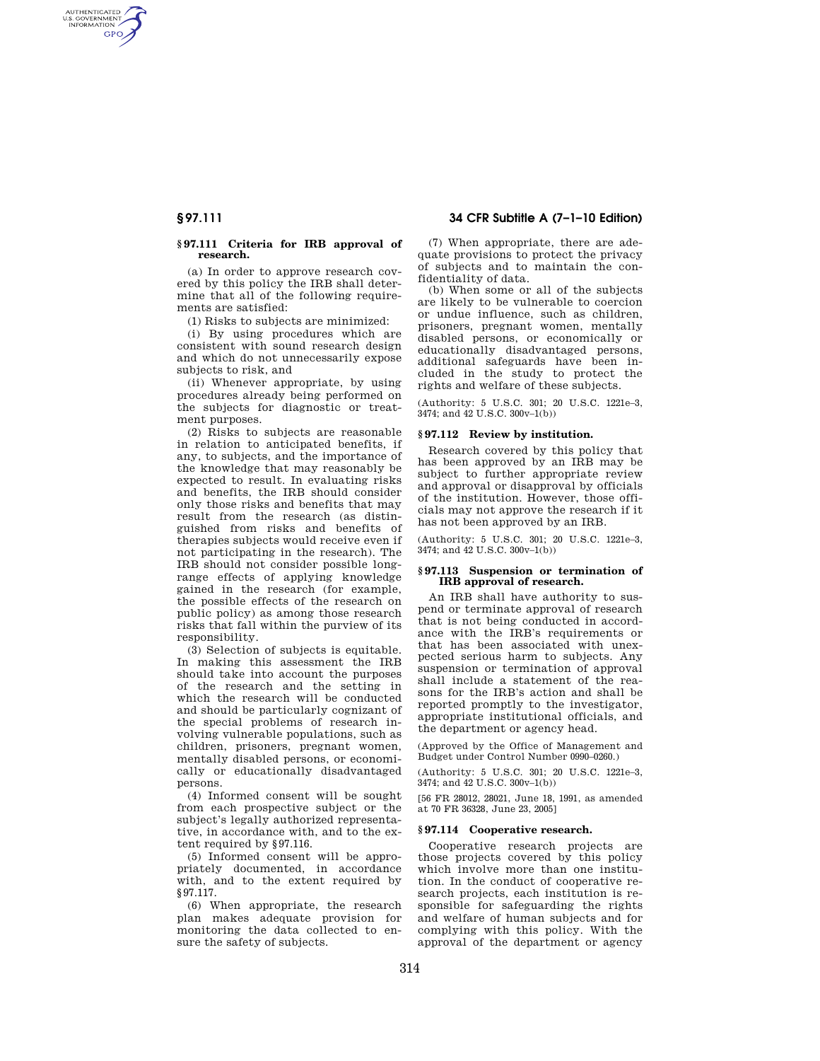AUTHENTICATED<br>U.S. GOVERNMENT<br>INFORMATION **GPO** 

## **§ 97.111 Criteria for IRB approval of research.**

(a) In order to approve research covered by this policy the IRB shall determine that all of the following requirements are satisfied:

(1) Risks to subjects are minimized:

(i) By using procedures which are consistent with sound research design and which do not unnecessarily expose subjects to risk, and

(ii) Whenever appropriate, by using procedures already being performed on the subjects for diagnostic or treatment purposes.

(2) Risks to subjects are reasonable in relation to anticipated benefits, if any, to subjects, and the importance of the knowledge that may reasonably be expected to result. In evaluating risks and benefits, the IRB should consider only those risks and benefits that may result from the research (as distinguished from risks and benefits of therapies subjects would receive even if not participating in the research). The IRB should not consider possible longrange effects of applying knowledge gained in the research (for example, the possible effects of the research on public policy) as among those research risks that fall within the purview of its responsibility.

(3) Selection of subjects is equitable. In making this assessment the IRB should take into account the purposes of the research and the setting in which the research will be conducted and should be particularly cognizant of the special problems of research involving vulnerable populations, such as children, prisoners, pregnant women, mentally disabled persons, or economically or educationally disadvantaged persons.

(4) Informed consent will be sought from each prospective subject or the subject's legally authorized representative, in accordance with, and to the extent required by §97.116.

(5) Informed consent will be appropriately documented, in accordance with, and to the extent required by §97.117.

(6) When appropriate, the research plan makes adequate provision for monitoring the data collected to ensure the safety of subjects.

**§ 97.111 34 CFR Subtitle A (7–1–10 Edition)** 

(7) When appropriate, there are adequate provisions to protect the privacy of subjects and to maintain the confidentiality of data.

(b) When some or all of the subjects are likely to be vulnerable to coercion or undue influence, such as children, prisoners, pregnant women, mentally disabled persons, or economically or educationally disadvantaged persons, additional safeguards have been included in the study to protect the rights and welfare of these subjects.

(Authority: 5 U.S.C. 301; 20 U.S.C. 1221e–3, 3474; and 42 U.S.C. 300v–1(b))

## **§ 97.112 Review by institution.**

Research covered by this policy that has been approved by an IRB may be subject to further appropriate review and approval or disapproval by officials of the institution. However, those officials may not approve the research if it has not been approved by an IRB.

(Authority: 5 U.S.C. 301; 20 U.S.C. 1221e–3, 3474; and 42 U.S.C. 300v–1(b))

## **§ 97.113 Suspension or termination of IRB approval of research.**

An IRB shall have authority to suspend or terminate approval of research that is not being conducted in accordance with the IRB's requirements or that has been associated with unexpected serious harm to subjects. Any suspension or termination of approval shall include a statement of the reasons for the IRB's action and shall be reported promptly to the investigator, appropriate institutional officials, and the department or agency head.

(Approved by the Office of Management and Budget under Control Number 0990–0260.)

(Authority: 5 U.S.C. 301; 20 U.S.C. 1221e–3, 3474; and 42 U.S.C. 300v–1(b))

[56 FR 28012, 28021, June 18, 1991, as amended at 70 FR 36328, June 23, 2005]

# **§ 97.114 Cooperative research.**

Cooperative research projects are those projects covered by this policy which involve more than one institution. In the conduct of cooperative research projects, each institution is responsible for safeguarding the rights and welfare of human subjects and for complying with this policy. With the approval of the department or agency